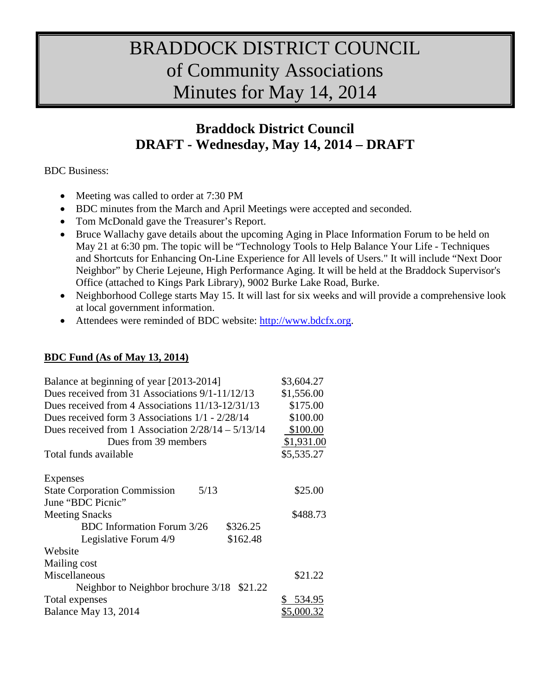# BRADDOCK DISTRICT COUNCIL of Community Associations Minutes for May 14, 2014

# **Braddock District Council DRAFT - Wednesday, May 14, 2014 – DRAFT**

#### BDC Business:

- Meeting was called to order at 7:30 PM
- BDC minutes from the March and April Meetings were accepted and seconded.
- Tom McDonald gave the Treasurer's Report.
- Bruce Wallachy gave details about the upcoming Aging in Place Information Forum to be held on May 21 at 6:30 pm. The topic will be "Technology Tools to Help Balance Your Life - Techniques and Shortcuts for Enhancing On-Line Experience for All levels of Users." It will include "Next Door Neighbor" by Cherie Lejeune, High Performance Aging. It will be held at the Braddock Supervisor's Office (attached to Kings Park Library), 9002 Burke Lake Road, Burke.
- Neighborhood College starts May 15. It will last for six weeks and will provide a comprehensive look at local government information.
- Attendees were reminded of BDC website: [http://www.bdcfx.org.](http://www.bdcfx.org/)

## **BDC Fund (As of May 13, 2014)**

| Balance at beginning of year [2013-2014]             | \$3,604.27                       |
|------------------------------------------------------|----------------------------------|
| Dues received from 31 Associations 9/1-11/12/13      | \$1,556.00                       |
| Dues received from 4 Associations 11/13-12/31/13     | \$175.00<br>\$100.00<br>\$100.00 |
| Dues received form 3 Associations $1/1 - 2/28/14$    |                                  |
| Dues received from 1 Association $2/28/14 - 5/13/14$ |                                  |
| Dues from 39 members                                 | \$1,931.00                       |
| Total funds available                                | \$5,535.27                       |
|                                                      |                                  |
| Expenses                                             |                                  |
| <b>State Corporation Commission</b><br>5/13          | \$25.00                          |
| June "BDC Picnic"                                    |                                  |
| <b>Meeting Snacks</b>                                | \$488.73                         |
| <b>BDC</b> Information Forum 3/26<br>\$326.25        |                                  |
| \$162.48<br>Legislative Forum 4/9                    |                                  |
| Website                                              |                                  |
| Mailing cost                                         |                                  |
| Miscellaneous                                        | \$21.22                          |
| Neighbor to Neighbor brochure 3/18<br>\$21.22        |                                  |
| Total expenses                                       | 534.95                           |
| Balance May 13, 2014                                 | <u>\$5,000.32</u>                |
|                                                      |                                  |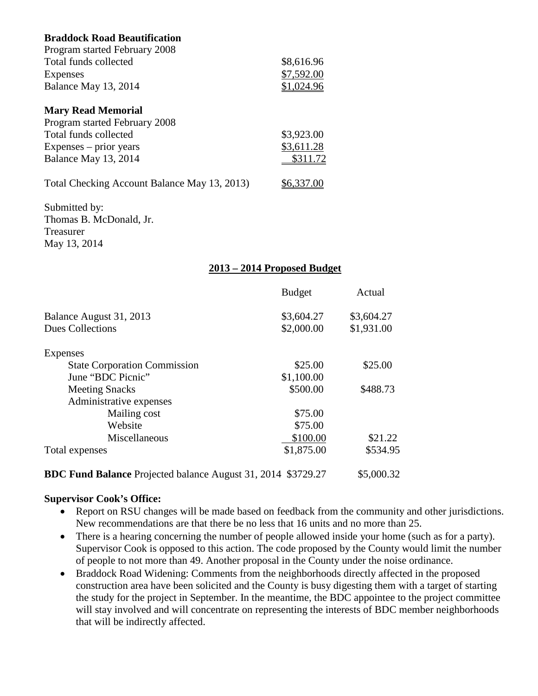| <b>Braddock Road Beautification</b>          |            |
|----------------------------------------------|------------|
| Program started February 2008                |            |
| Total funds collected                        | \$8,616.96 |
| Expenses                                     | \$7,592.00 |
| Balance May 13, 2014                         | \$1,024.96 |
| <b>Mary Read Memorial</b>                    |            |
| Program started February 2008                |            |
| Total funds collected                        | \$3,923.00 |
| $Expenses - prior years$                     | \$3,611.28 |
| Balance May 13, 2014                         | \$311.72   |
| Total Checking Account Balance May 13, 2013) | \$6,337.00 |
| Submitted by:                                |            |
| Thomas B. McDonald, Jr.                      |            |
| Treasurer                                    |            |

#### **2013 – 2014 Proposed Budget**

|                                                                     | <b>Budget</b> | Actual     |
|---------------------------------------------------------------------|---------------|------------|
| Balance August 31, 2013                                             | \$3,604.27    | \$3,604.27 |
| <b>Dues Collections</b>                                             | \$2,000.00    | \$1,931.00 |
| Expenses                                                            |               |            |
| <b>State Corporation Commission</b>                                 | \$25.00       | \$25.00    |
| June "BDC Picnic"                                                   | \$1,100.00    |            |
| <b>Meeting Snacks</b>                                               | \$500.00      | \$488.73   |
| Administrative expenses                                             |               |            |
| Mailing cost                                                        | \$75.00       |            |
| Website                                                             | \$75.00       |            |
| Miscellaneous                                                       | \$100.00      | \$21.22    |
| Total expenses                                                      | \$1,875.00    | \$534.95   |
| <b>BDC Fund Balance</b> Projected balance August 31, 2014 \$3729.27 |               | \$5,000.32 |

#### **Supervisor Cook's Office:**

May 13, 2014

- Report on RSU changes will be made based on feedback from the community and other jurisdictions. New recommendations are that there be no less that 16 units and no more than 25.
- There is a hearing concerning the number of people allowed inside your home (such as for a party). Supervisor Cook is opposed to this action. The code proposed by the County would limit the number of people to not more than 49. Another proposal in the County under the noise ordinance.
- Braddock Road Widening: Comments from the neighborhoods directly affected in the proposed construction area have been solicited and the County is busy digesting them with a target of starting the study for the project in September. In the meantime, the BDC appointee to the project committee will stay involved and will concentrate on representing the interests of BDC member neighborhoods that will be indirectly affected.